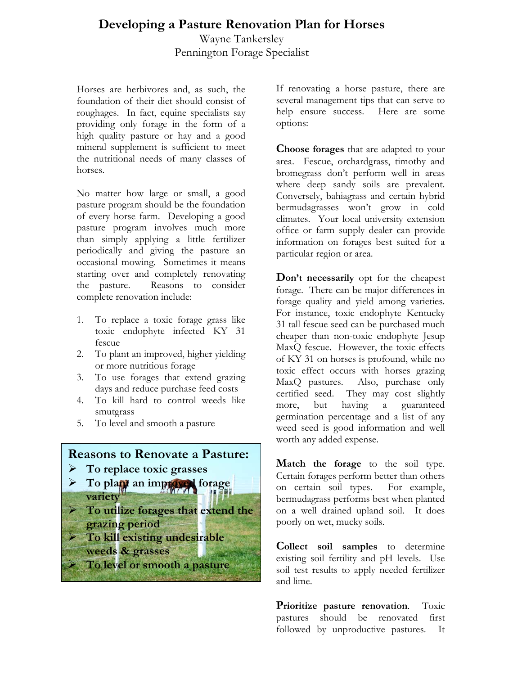## **Developing a Pasture Renovation Plan for Horses**

Wayne Tankersley Pennington Forage Specialist

Horses are herbivores and, as such, the foundation of their diet should consist of roughages. In fact, equine specialists say providing only forage in the form of a high quality pasture or hay and a good mineral supplement is sufficient to meet the nutritional needs of many classes of horses.

No matter how large or small, a good pasture program should be the foundation of every horse farm. Developing a good pasture program involves much more than simply applying a little fertilizer periodically and giving the pasture an occasional mowing. Sometimes it means starting over and completely renovating the pasture. Reasons to consider complete renovation include:

- 1. To replace a toxic forage grass like toxic endophyte infected KY 31 fescue
- 2. To plant an improved, higher yielding or more nutritious forage
- 3. To use forages that extend grazing days and reduce purchase feed costs
- 4. To kill hard to control weeds like smutgrass
- 5. To level and smooth a pasture

## **Reasons to Renovate a Pasture:**

- ¾ **To replace toxic grasses**
- ¾ **To plant an improved forage variety**
- ¾ **To utilize forages that extend the grazing period**
- ¾ **To kill existing undesirable** 
	- **weeds & grasses**
	- ¾ **To level or smooth a pasture**

If renovating a horse pasture, there are several management tips that can serve to help ensure success. Here are some options:

**Choose forages** that are adapted to your area. Fescue, orchardgrass, timothy and bromegrass don't perform well in areas where deep sandy soils are prevalent. Conversely, bahiagrass and certain hybrid bermudagrasses won't grow in cold climates. Your local university extension office or farm supply dealer can provide information on forages best suited for a particular region or area.

**Don't necessarily** opt for the cheapest forage. There can be major differences in forage quality and yield among varieties. For instance, toxic endophyte Kentucky 31 tall fescue seed can be purchased much cheaper than non-toxic endophyte Jesup MaxQ fescue. However, the toxic effects of KY 31 on horses is profound, while no toxic effect occurs with horses grazing MaxQ pastures. Also, purchase only certified seed. They may cost slightly more, but having a guaranteed germination percentage and a list of any weed seed is good information and well worth any added expense.

**Match the forage** to the soil type. Certain forages perform better than others on certain soil types. For example, bermudagrass performs best when planted on a well drained upland soil. It does poorly on wet, mucky soils.

**Collect soil samples** to determine existing soil fertility and pH levels. Use soil test results to apply needed fertilizer and lime.

**Prioritize pasture renovation**. Toxic pastures should be renovated first followed by unproductive pastures. It